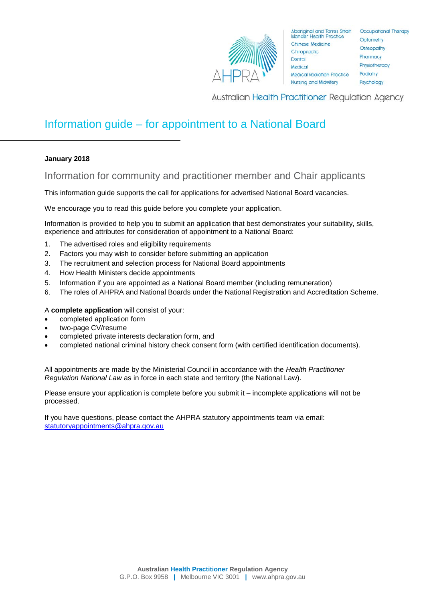

Australian Health Practitioner Regulation Agency

# Information guide – for appointment to a National Board

# **January 2018**

Information for community and practitioner member and Chair applicants

This information guide supports the call for applications for advertised National Board vacancies.

We encourage you to read this guide before you complete your application.

Information is provided to help you to submit an application that best demonstrates your suitability, skills, experience and attributes for consideration of appointment to a National Board:

- 1. The advertised roles and eligibility requirements
- 2. Factors you may wish to consider before submitting an application
- 3. The recruitment and selection process for National Board appointments
- 4. How Health Ministers decide appointments
- 5. Information if you are appointed as a National Board member (including remuneration)
- 6. The roles of AHPRA and National Boards under the National Registration and Accreditation Scheme.

# A **complete application** will consist of your:

- completed application form
- two-page CV/resume
- completed private interests declaration form, and
- completed national criminal history check consent form (with certified identification documents).

All appointments are made by the Ministerial Council in accordance with the *Health Practitioner Regulation National Law* as in force in each state and territory (the National Law).

Please ensure your application is complete before you submit it – incomplete applications will not be processed.

If you have questions, please contact the AHPRA statutory appointments team via email: [statutoryappointments@ahpra.gov.au](mailto:statutoryappointments@ahpra.gov.au)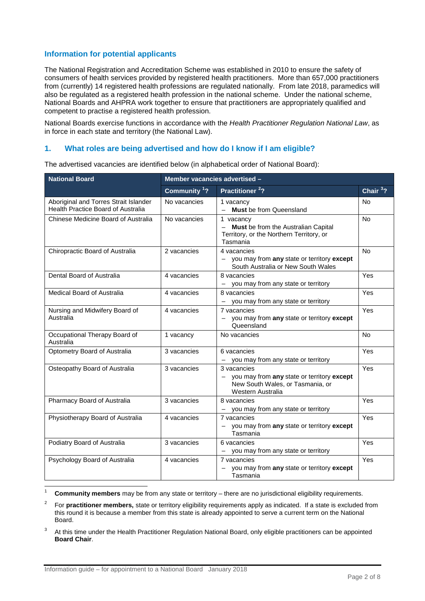# **Information for potential applicants**

The National Registration and Accreditation Scheme was established in 2010 to ensure the safety of consumers of health services provided by registered health practitioners. More than 657,000 practitioners from (currently) 14 registered health professions are regulated nationally. From late 2018, paramedics will also be regulated as a registered health profession in the national scheme. Under the national scheme, National Boards and AHPRA work together to ensure that practitioners are appropriately qualified and competent to practise a registered health profession.

National Boards exercise functions in accordance with the *Health Practitioner Regulation National Law*, as in force in each state and territory (the National Law).

# **1. What roles are being advertised and how do I know if I am eligible?**

| <b>National Board</b>                                                              | Member vacancies advertised - |                                                                                                                                                |            |
|------------------------------------------------------------------------------------|-------------------------------|------------------------------------------------------------------------------------------------------------------------------------------------|------------|
|                                                                                    | Community <sup>1</sup> ?      | Practitioner <sup>2</sup> ?                                                                                                                    | Chair $32$ |
| Aboriginal and Torres Strait Islander<br><b>Health Practice Board of Australia</b> | No vacancies                  | 1 vacancy<br>- Must be from Queensland                                                                                                         | <b>No</b>  |
| Chinese Medicine Board of Australia                                                | No vacancies                  | 1 vacancy<br>- Must be from the Australian Capital<br>Territory, or the Northern Territory, or<br>Tasmania                                     | <b>No</b>  |
| Chiropractic Board of Australia                                                    | 2 vacancies                   | 4 vacancies<br>- you may from any state or territory except<br>South Australia or New South Wales                                              | <b>No</b>  |
| Dental Board of Australia                                                          | 4 vacancies                   | 8 vacancies<br>- you may from any state or territory                                                                                           | Yes        |
| Medical Board of Australia                                                         | 4 vacancies                   | 8 vacancies<br>- you may from any state or territory                                                                                           | Yes        |
| Nursing and Midwifery Board of<br>Australia                                        | 4 vacancies                   | 7 vacancies<br>- you may from any state or territory except<br>Queensland                                                                      | Yes        |
| Occupational Therapy Board of<br>Australia                                         | 1 vacancy                     | No vacancies                                                                                                                                   | <b>No</b>  |
| Optometry Board of Australia                                                       | 3 vacancies                   | 6 vacancies<br>- you may from any state or territory                                                                                           | Yes        |
| Osteopathy Board of Australia                                                      | 3 vacancies                   | 3 vacancies<br>you may from any state or territory except<br>$\overline{\phantom{m}}$<br>New South Wales, or Tasmania, or<br>Western Australia | Yes        |
| Pharmacy Board of Australia                                                        | 3 vacancies                   | 8 vacancies<br>- you may from any state or territory                                                                                           | Yes        |
| Physiotherapy Board of Australia                                                   | 4 vacancies                   | 7 vacancies<br>- you may from any state or territory except<br>Tasmania                                                                        | Yes        |
| Podiatry Board of Australia                                                        | 3 vacancies                   | 6 vacancies<br>- you may from any state or territory                                                                                           | Yes        |
| Psychology Board of Australia                                                      | 4 vacancies                   | 7 vacancies<br>you may from any state or territory except<br>Tasmania                                                                          | Yes        |

The advertised vacancies are identified below (in alphabetical order of National Board):

<span id="page-1-0"></span>1 **Community members** may be from any state or territory – there are no jurisdictional eligibility requirements.

<span id="page-1-1"></span>2 For **practitioner members,** state or territory eligibility requirements apply as indicated. If a state is excluded from this round it is because a member from this state is already appointed to serve a current term on the National Board.

<span id="page-1-2"></span><sup>3</sup> At this time under the Health Practitioner Regulation National Board, only eligible practitioners can be appointed **Board Chair**.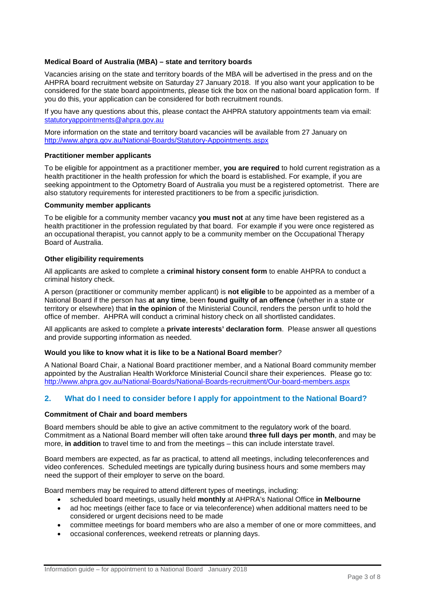# **Medical Board of Australia (MBA) – state and territory boards**

Vacancies arising on the state and territory boards of the MBA will be advertised in the press and on the AHPRA board recruitment website on Saturday 27 January 2018. If you also want your application to be considered for the state board appointments, please tick the box on the national board application form. If you do this, your application can be considered for both recruitment rounds.

If you have any questions about this, please contact the AHPRA statutory appointments team via email: [statutoryappointments@ahpra.gov.au](mailto:statutoryappointments@ahpra.gov.au)

More information on the state and territory board vacancies will be available from 27 January on <http://www.ahpra.gov.au/National-Boards/Statutory-Appointments.aspx>

#### **Practitioner member applicants**

To be eligible for appointment as a practitioner member, **you are required** to hold current registration as a health practitioner in the health profession for which the board is established. For example, if you are seeking appointment to the Optometry Board of Australia you must be a registered optometrist. There are also statutory requirements for interested practitioners to be from a specific jurisdiction.

#### **Community member applicants**

To be eligible for a community member vacancy **you must not** at any time have been registered as a health practitioner in the profession regulated by that board. For example if you were once registered as an occupational therapist, you cannot apply to be a community member on the Occupational Therapy Board of Australia.

#### **Other eligibility requirements**

All applicants are asked to complete a **criminal history consent form** to enable AHPRA to conduct a criminal history check.

A person (practitioner or community member applicant) is **not eligible** to be appointed as a member of a National Board if the person has **at any time**, been **found guilty of an offence** (whether in a state or territory or elsewhere) that **in the opinion** of the Ministerial Council, renders the person unfit to hold the office of member. AHPRA will conduct a criminal history check on all shortlisted candidates.

All applicants are asked to complete a **private interests' declaration form**. Please answer all questions and provide supporting information as needed.

#### **Would you like to know what it is like to be a National Board member**?

A National Board Chair, a National Board practitioner member, and a National Board community member appointed by the Australian Health Workforce Ministerial Council share their experiences. Please go to: <http://www.ahpra.gov.au/National-Boards/National-Boards-recruitment/Our-board-members.aspx>

# **2. What do I need to consider before I apply for appointment to the National Board?**

#### **Commitment of Chair and board members**

Board members should be able to give an active commitment to the regulatory work of the board. Commitment as a National Board member will often take around **three full days per month**, and may be more, **in addition** to travel time to and from the meetings – this can include interstate travel.

Board members are expected, as far as practical, to attend all meetings, including teleconferences and video conferences. Scheduled meetings are typically during business hours and some members may need the support of their employer to serve on the board.

Board members may be required to attend different types of meetings, including:

- scheduled board meetings, usually held **monthly** at AHPRA's National Office **in Melbourne**
- ad hoc meetings (either face to face or via teleconference) when additional matters need to be considered or urgent decisions need to be made
- committee meetings for board members who are also a member of one or more committees, and
- occasional conferences, weekend retreats or planning days.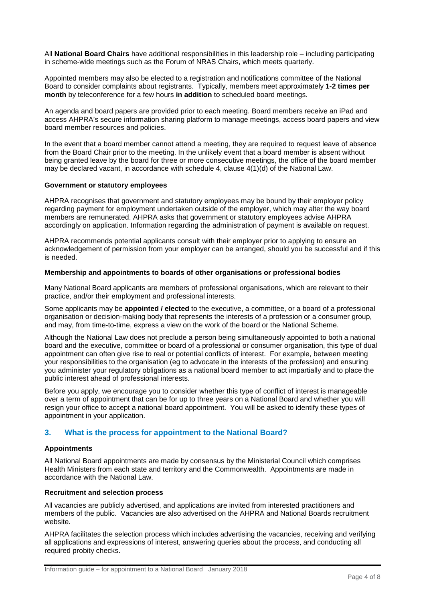All **National Board Chairs** have additional responsibilities in this leadership role – including participating in scheme-wide meetings such as the Forum of NRAS Chairs, which meets quarterly.

Appointed members may also be elected to a registration and notifications committee of the National Board to consider complaints about registrants. Typically, members meet approximately **1-2 times per month** by teleconference for a few hours **in addition** to scheduled board meetings.

An agenda and board papers are provided prior to each meeting. Board members receive an iPad and access AHPRA's secure information sharing platform to manage meetings, access board papers and view board member resources and policies.

In the event that a board member cannot attend a meeting, they are required to request leave of absence from the Board Chair prior to the meeting. In the unlikely event that a board member is absent without being granted leave by the board for three or more consecutive meetings, the office of the board member may be declared vacant, in accordance with schedule 4, clause 4(1)(d) of the National Law.

## **Government or statutory employees**

AHPRA recognises that government and statutory employees may be bound by their employer policy regarding payment for employment undertaken outside of the employer, which may alter the way board members are remunerated. AHPRA asks that government or statutory employees advise AHPRA accordingly on application. Information regarding the administration of payment is available on request.

AHPRA recommends potential applicants consult with their employer prior to applying to ensure an acknowledgement of permission from your employer can be arranged, should you be successful and if this is needed.

## **Membership and appointments to boards of other organisations or professional bodies**

Many National Board applicants are members of professional organisations, which are relevant to their practice, and/or their employment and professional interests.

Some applicants may be **appointed / elected** to the executive, a committee, or a board of a professional organisation or decision-making body that represents the interests of a profession or a consumer group, and may, from time-to-time, express a view on the work of the board or the National Scheme.

Although the National Law does not preclude a person being simultaneously appointed to both a national board and the executive, committee or board of a professional or consumer organisation, this type of dual appointment can often give rise to real or potential conflicts of interest. For example, between meeting your responsibilities to the organisation (eg to advocate in the interests of the profession) and ensuring you administer your regulatory obligations as a national board member to act impartially and to place the public interest ahead of professional interests.

Before you apply, we encourage you to consider whether this type of conflict of interest is manageable over a term of appointment that can be for up to three years on a National Board and whether you will resign your office to accept a national board appointment. You will be asked to identify these types of appointment in your application.

# **3. What is the process for appointment to the National Board?**

# **Appointments**

All National Board appointments are made by consensus by the Ministerial Council which comprises Health Ministers from each state and territory and the Commonwealth. Appointments are made in accordance with the National Law.

#### **Recruitment and selection process**

All vacancies are publicly advertised, and applications are invited from interested practitioners and members of the public. Vacancies are also advertised on the AHPRA and National Boards recruitment website.

AHPRA facilitates the selection process which includes advertising the vacancies, receiving and verifying all applications and expressions of interest, answering queries about the process, and conducting all required probity checks.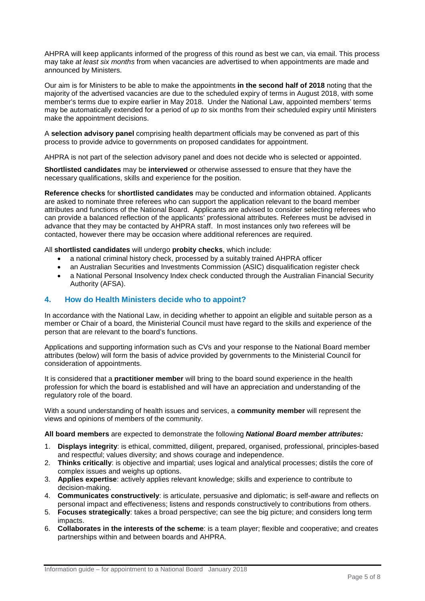AHPRA will keep applicants informed of the progress of this round as best we can, via email. This process may take *at least six months* from when vacancies are advertised to when appointments are made and announced by Ministers.

Our aim is for Ministers to be able to make the appointments **in the second half of 2018** noting that the majority of the advertised vacancies are due to the scheduled expiry of terms in August 2018, with some member's terms due to expire earlier in May 2018. Under the National Law, appointed members' terms may be automatically extended for a period of *up to* six months from their scheduled expiry until Ministers make the appointment decisions.

A **selection advisory panel** comprising health department officials may be convened as part of this process to provide advice to governments on proposed candidates for appointment.

AHPRA is not part of the selection advisory panel and does not decide who is selected or appointed.

**Shortlisted candidates** may be **interviewed** or otherwise assessed to ensure that they have the necessary qualifications, skills and experience for the position.

**Reference checks** for **shortlisted candidates** may be conducted and information obtained. Applicants are asked to nominate three referees who can support the application relevant to the board member attributes and functions of the National Board. Applicants are advised to consider selecting referees who can provide a balanced reflection of the applicants' professional attributes. Referees must be advised in advance that they may be contacted by AHPRA staff. In most instances only two referees will be contacted, however there may be occasion where additional references are required.

All **shortlisted candidates** will undergo **probity checks**, which include:

- a national criminal history check, processed by a suitably trained AHPRA officer
- an Australian Securities and Investments Commission (ASIC) disqualification register check
- a National Personal Insolvency Index check conducted through the Australian Financial Security Authority (AFSA).

# **4. How do Health Ministers decide who to appoint?**

In accordance with the National Law, in deciding whether to appoint an eligible and suitable person as a member or Chair of a board, the Ministerial Council must have regard to the skills and experience of the person that are relevant to the board's functions.

Applications and supporting information such as CVs and your response to the National Board member attributes (below) will form the basis of advice provided by governments to the Ministerial Council for consideration of appointments.

It is considered that a **practitioner member** will bring to the board sound experience in the health profession for which the board is established and will have an appreciation and understanding of the regulatory role of the board.

With a sound understanding of health issues and services, a **community member** will represent the views and opinions of members of the community.

#### **All board members** are expected to demonstrate the following *National Board member attributes:*

- 1. **Displays integrity**: is ethical, committed, diligent, prepared, organised, professional, principles-based and respectful; values diversity; and shows courage and independence.
- 2. **Thinks critically**: is objective and impartial; uses logical and analytical processes; distils the core of complex issues and weighs up options.
- 3. **Applies expertise**: actively applies relevant knowledge; skills and experience to contribute to decision-making.
- 4. **Communicates constructively**: is articulate, persuasive and diplomatic; is self-aware and reflects on personal impact and effectiveness; listens and responds constructively to contributions from others.
- 5. **Focuses strategically**: takes a broad perspective; can see the big picture; and considers long term impacts.
- 6. **Collaborates in the interests of the scheme**: is a team player; flexible and cooperative; and creates partnerships within and between boards and AHPRA.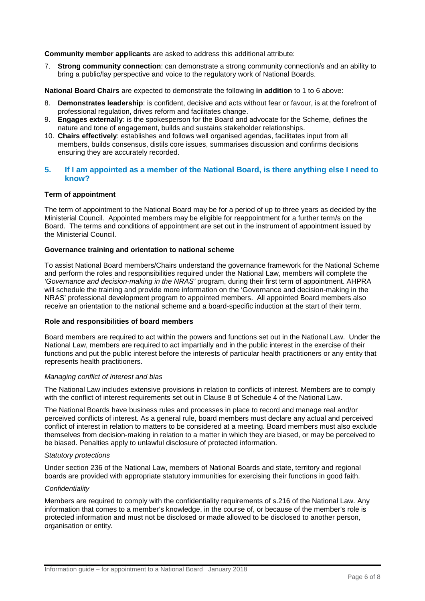**Community member applicants** are asked to address this additional attribute:

7. **Strong community connection**: can demonstrate a strong community connection/s and an ability to bring a public/lay perspective and voice to the regulatory work of National Boards.

**National Board Chairs** are expected to demonstrate the following **in addition** to 1 to 6 above:

- 8. **Demonstrates leadership**: is confident, decisive and acts without fear or favour, is at the forefront of professional regulation, drives reform and facilitates change.
- 9. **Engages externally**: is the spokesperson for the Board and advocate for the Scheme, defines the nature and tone of engagement, builds and sustains stakeholder relationships.
- 10. **Chairs effectively**: establishes and follows well organised agendas, facilitates input from all members, builds consensus, distils core issues, summarises discussion and confirms decisions ensuring they are accurately recorded.

# **5. If I am appointed as a member of the National Board, is there anything else I need to know?**

# **Term of appointment**

The term of appointment to the National Board may be for a period of up to three years as decided by the Ministerial Council. Appointed members may be eligible for reappointment for a further term/s on the Board. The terms and conditions of appointment are set out in the instrument of appointment issued by the Ministerial Council.

#### **Governance training and orientation to national scheme**

To assist National Board members/Chairs understand the governance framework for the National Scheme and perform the roles and responsibilities required under the National Law, members will complete the *'Governance and decision-making in the NRAS'* program, during their first term of appointment. AHPRA will schedule the training and provide more information on the 'Governance and decision-making in the NRAS' professional development program to appointed members. All appointed Board members also receive an orientation to the national scheme and a board-specific induction at the start of their term.

#### **Role and responsibilities of board members**

Board members are required to act within the powers and functions set out in the National Law. Under the National Law, members are required to act impartially and in the public interest in the exercise of their functions and put the public interest before the interests of particular health practitioners or any entity that represents health practitioners.

#### *Managing conflict of interest and bias*

The National Law includes extensive provisions in relation to conflicts of interest. Members are to comply with the conflict of interest requirements set out in Clause 8 of Schedule 4 of the National Law.

The National Boards have business rules and processes in place to record and manage real and/or perceived conflicts of interest. As a general rule, board members must declare any actual and perceived conflict of interest in relation to matters to be considered at a meeting. Board members must also exclude themselves from decision-making in relation to a matter in which they are biased, or may be perceived to be biased. Penalties apply to unlawful disclosure of protected information.

#### *Statutory protections*

Under section 236 of the National Law, members of National Boards and state, territory and regional boards are provided with appropriate statutory immunities for exercising their functions in good faith.

#### *Confidentiality*

Members are required to comply with the confidentiality requirements of s.216 of the National Law. Any information that comes to a member's knowledge, in the course of, or because of the member's role is protected information and must not be disclosed or made allowed to be disclosed to another person, organisation or entity.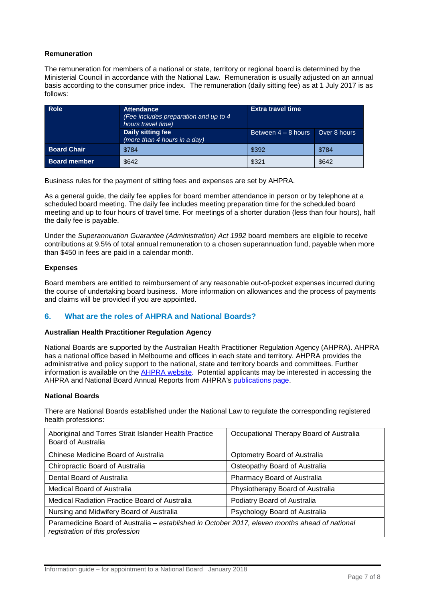## **Remuneration**

The remuneration for members of a national or state, territory or regional board is determined by the Ministerial Council in accordance with the National Law. Remuneration is usually adjusted on an annual basis according to the consumer price index. The remuneration (daily sitting fee) as at 1 July 2017 is as follows:

| <b>Role</b>         | <b>Attendance</b><br>(Fee includes preparation and up to 4<br>hours travel time) | <b>Extra travel time</b> |              |
|---------------------|----------------------------------------------------------------------------------|--------------------------|--------------|
|                     | Daily sitting fee<br>(more than 4 hours in a day)                                | Between $4 - 8$ hours    | Over 8 hours |
| <b>Board Chair</b>  | \$784                                                                            | \$392                    | \$784        |
| <b>Board member</b> | \$642                                                                            | \$321                    | \$642        |

Business rules for the payment of sitting fees and expenses are set by AHPRA.

As a general guide, the daily fee applies for board member attendance in person or by telephone at a scheduled board meeting. The daily fee includes meeting preparation time for the scheduled board meeting and up to four hours of travel time. For meetings of a shorter duration (less than four hours), half the daily fee is payable.

Under the *Superannuation Guarantee (Administration) Act 1992* board members are eligible to receive contributions at 9.5% of total annual remuneration to a chosen superannuation fund, payable when more than \$450 in fees are paid in a calendar month.

## **Expenses**

Board members are entitled to reimbursement of any reasonable out-of-pocket expenses incurred during the course of undertaking board business. More information on allowances and the process of payments and claims will be provided if you are appointed.

# **6. What are the roles of AHPRA and National Boards?**

#### **Australian Health Practitioner Regulation Agency**

National Boards are supported by the Australian Health Practitioner Regulation Agency (AHPRA). AHPRA has a national office based in Melbourne and offices in each state and territory. AHPRA provides the administrative and policy support to the national, state and territory boards and committees. Further information is available on the [AHPRA website.](https://www.ahpra.gov.au/) Potential applicants may be interested in accessing the AHPRA and National Board Annual Reports from AHPRA's [publications page.](http://www.ahpra.gov.au/Legislation-and-Publications/AHPRA-Publications.aspx)

# **National Boards**

There are National Boards established under the National Law to regulate the corresponding registered health professions:

| Aboriginal and Torres Strait Islander Health Practice<br>Board of Australia                                                       | Occupational Therapy Board of Australia |  |  |
|-----------------------------------------------------------------------------------------------------------------------------------|-----------------------------------------|--|--|
| Chinese Medicine Board of Australia                                                                                               | Optometry Board of Australia            |  |  |
| Chiropractic Board of Australia                                                                                                   | Osteopathy Board of Australia           |  |  |
| Dental Board of Australia                                                                                                         | Pharmacy Board of Australia             |  |  |
| Medical Board of Australia                                                                                                        | Physiotherapy Board of Australia        |  |  |
| Medical Radiation Practice Board of Australia                                                                                     | Podiatry Board of Australia             |  |  |
| Nursing and Midwifery Board of Australia                                                                                          | Psychology Board of Australia           |  |  |
| Paramedicine Board of Australia - established in October 2017, eleven months ahead of national<br>registration of this profession |                                         |  |  |